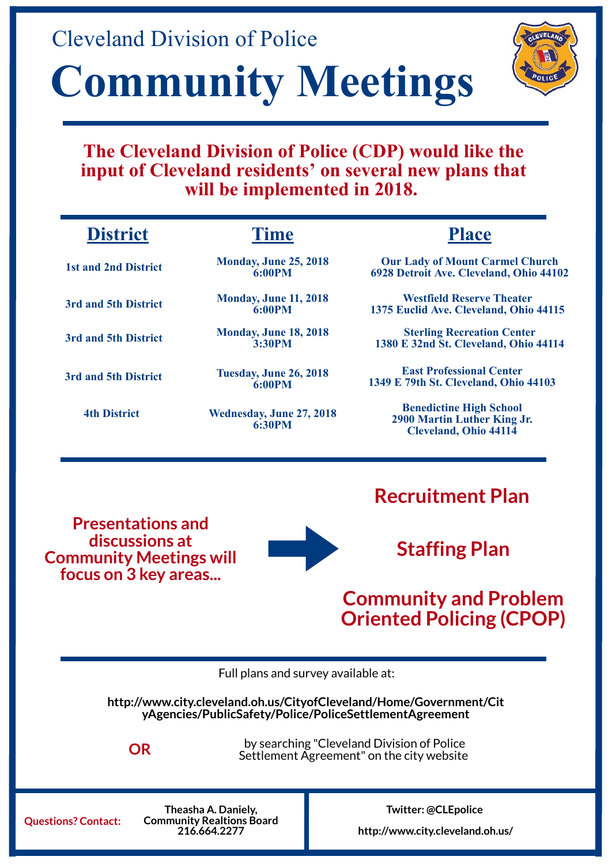**Recruitment Plan**

**Staffing Plan**

#### **Community and Problem Oriented Policing (CPOP)**

**Presentations and discussions at Community Meetings will focus on 3 key areas...**



**Monday, June 25, 2018 6:00PM**

# Cleveland Division of Police **Community Meetings**



**Our Lady of Mount Carmel Church 6928 Detroit Ave. Cleveland, Ohio 44102**

**Questions? Contact:**

**Theasha A. Daniely, Community Realtions Board 216.664.2277**

**[http://www.city.cleveland.oh.us/CityofCleveland/Home/Government/Cit](http://www.city.cleveland.oh.us/CityofCleveland/Home/Government/CityAgencies/PublicSafety/Police/PoliceSettlementAgreement) yAgencies/PublicSafety/Police/PoliceSettlementAgreement**

**http://www.city.cleveland.oh.us/**

**Twitter: @CLEpolice**

Full plans and survey available at:

**Time Place**

by searching "Cleveland Division of Police **OR** Settlement Agreement" on the city website

**1st and 2nd District**

**3rd and 5th District Monday, June 11, 2018 6:00PM**

**Westfield Reserve Theater 1375 Euclid Ave. Cleveland, Ohio 44115**

**Monday, June 18, 2018 3:30PM**

**Sterling Recreation Center 1380 E 32nd St. Cleveland, Ohio 44114**

**4th District Wednesday, June 27, 2018 6:30PM**

**Benedictine High School 2900 Martin Luther King Jr. Cleveland, Ohio 44114**

**3rd and 5th District**

**3rd and 5th District Tuesday, June 26, 2018 6:00PM**

**East Professional Center 1349 E 79th St. Cleveland, Ohio 44103**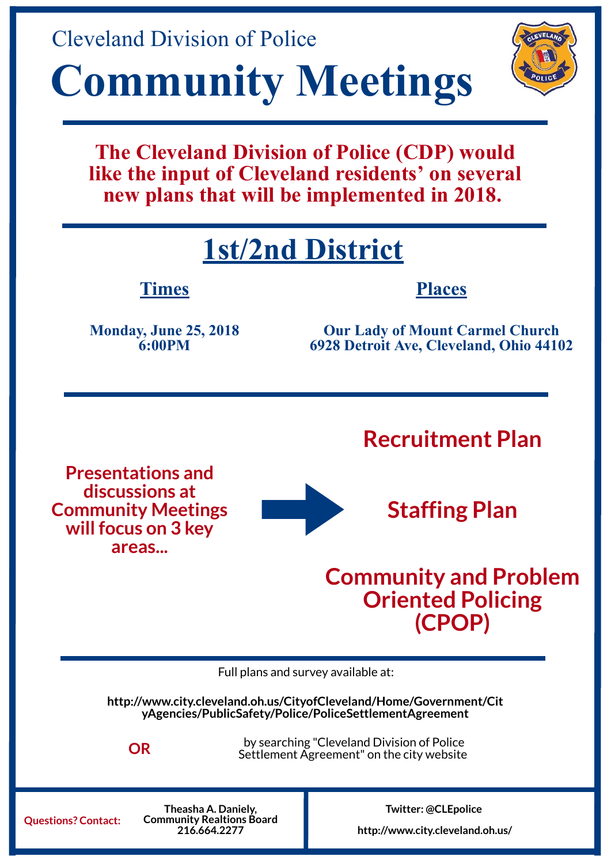**Recruitment Plan**

### **Staffing Plan**

#### **Community and Problem Oriented Policing (CPOP)**

**Presentations and discussions at Community Meetings will focus on 3 key areas...**



## **1st/2nd District**

**Monday, June 25, 2018 6:00PM**





**Our Lady of Mount Carmel Church 6928 Detroit Ave, Cleveland, Ohio 44102**

**Questions? Contact:**

**Theasha A. Daniely, Community Realtions Board 216.664.2277**

**[http://www.city.cleveland.oh.us/CityofCleveland/Home/Government/Cit](http://www.city.cleveland.oh.us/CityofCleveland/Home/Government/CityAgencies/PublicSafety/Police/PoliceSettlementAgreement) yAgencies/PublicSafety/Police/PoliceSettlementAgreement**

**http://www.city.cleveland.oh.us/**

**Twitter: @CLEpolice**

Full plans and survey available at:

**Times Places**

by searching "Cleveland Division of Police **OR** Settlement Agreement" on the city website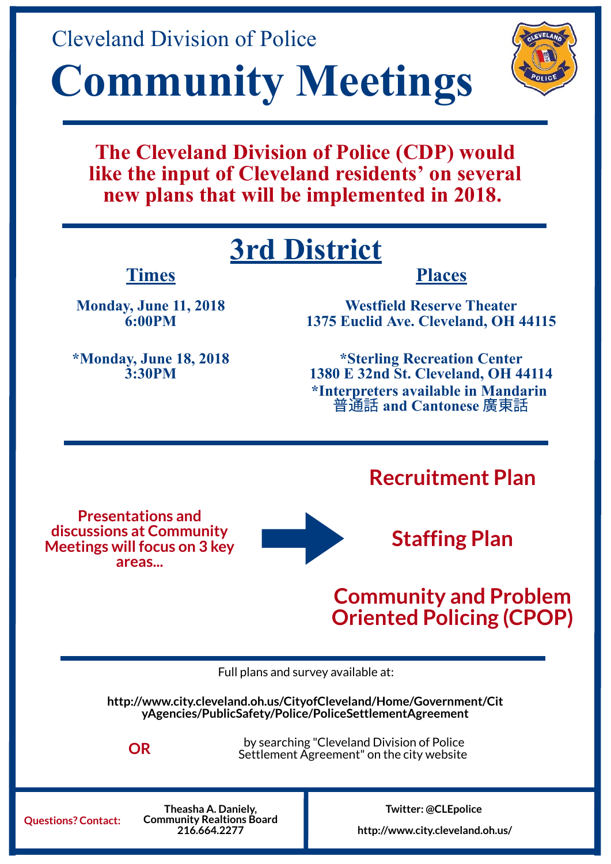**Recruitment Plan**

#### **Staffing Plan**

#### **Community and Problem Oriented Policing (CPOP)**

**Presentations and discussions at Community Meetings will focus on 3 key areas...**



## **3rd District**

**Monday, June 11, 2018 6:00PM**





**Westfield Reserve Theater 1375 Euclid Ave. Cleveland, OH 44115**

**Questions? Contact:**

**Theasha A. Daniely, Community Realtions Board 216.664.2277**

**[http://www.city.cleveland.oh.us/CityofCleveland/Home/Government/Cit](http://www.city.cleveland.oh.us/CityofCleveland/Home/Government/CityAgencies/PublicSafety/Police/PoliceSettlementAgreement) yAgencies/PublicSafety/Police/PoliceSettlementAgreement**

**http://www.city.cleveland.oh.us/**

**Twitter: @CLEpolice**

Full plans and survey available at:

#### **Times Places**

by searching "Cleveland Division of Police **OR** Settlement Agreement" on the city website

**\*Monday, June 18, 2018 3:30PM**

**\*Sterling Recreation Center 1380 E 32nd St. Cleveland, OH 44114 \*Interpreters available in Mandarin**  普通話 **and Cantonese** 廣東話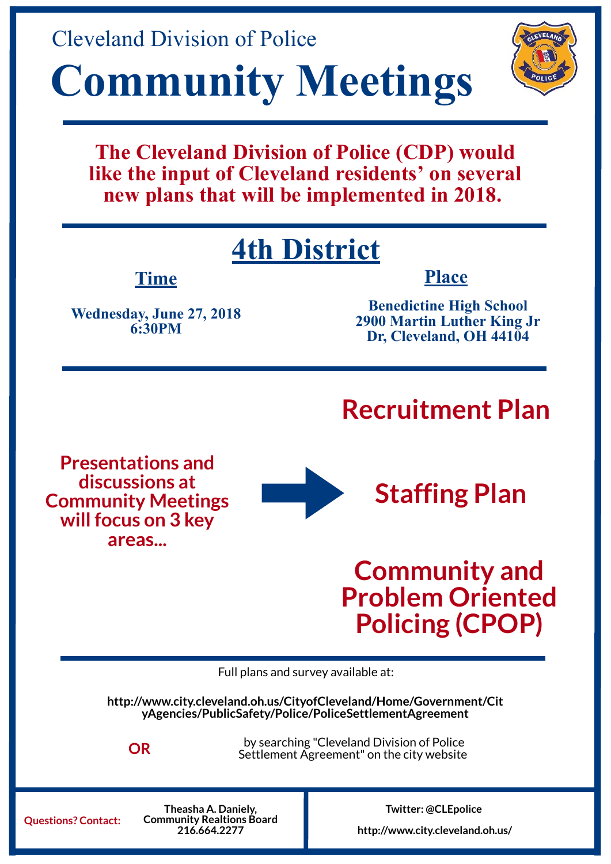## **Recruitment Plan**



**Staffing Plan**

## **Community and Problem Oriented Policing (CPOP)**

**Presentations and discussions at Community Meetings will focus on 3 key areas...**



## **4th District**

**Wednesday, June 27, 2018 6:30PM**





**Benedictine High School 2900 Martin Luther King Jr Dr, Cleveland, OH 44104**

**Questions? Contact:**

**Theasha A. Daniely, Community Realtions Board 216.664.2277**

**[http://www.city.cleveland.oh.us/CityofCleveland/Home/Government/Cit](http://www.city.cleveland.oh.us/CityofCleveland/Home/Government/CityAgencies/PublicSafety/Police/PoliceSettlementAgreement) yAgencies/PublicSafety/Police/PoliceSettlementAgreement**

**http://www.city.cleveland.oh.us/**

**Twitter: @CLEpolice**

Full plans and survey available at:

**Time Place**

by searching "Cleveland Division of Police **OR** Settlement Agreement" on the city website